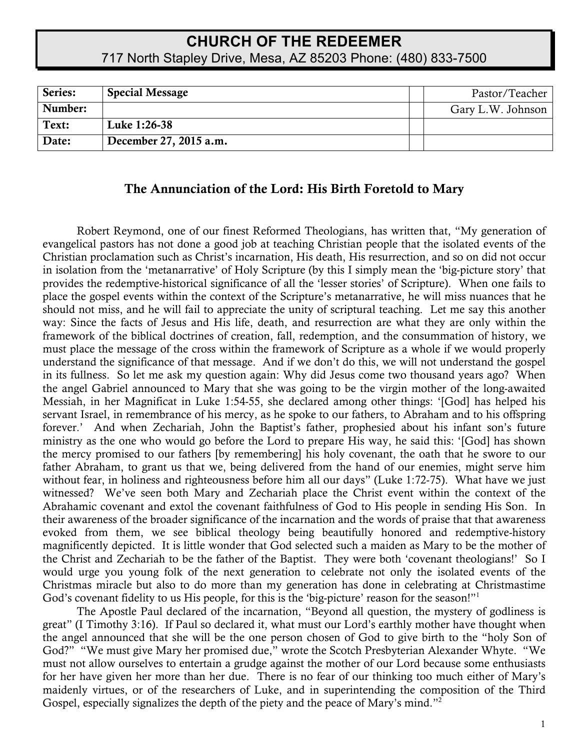# **CHURCH OF THE REDEEMER** 717 North Stapley Drive, Mesa, AZ 85203 Phone: (480) 833-7500

| Series: | <b>Special Message</b> | Pastor/Teacher    |
|---------|------------------------|-------------------|
| Number: |                        | Gary L.W. Johnson |
| Text:   | Luke 1:26-38           |                   |
| Date:   | December 27, 2015 a.m. |                   |

### The Annunciation of the Lord: His Birth Foretold to Mary

Robert Reymond, one of our finest Reformed Theologians, has written that, "My generation of evangelical pastors has not done a good job at teaching Christian people that the isolated events of the Christian proclamation such as Christ's incarnation, His death, His resurrection, and so on did not occur in isolation from the 'metanarrative' of Holy Scripture (by this I simply mean the 'big-picture story' that provides the redemptive-historical significance of all the 'lesser stories' of Scripture). When one fails to place the gospel events within the context of the Scripture's metanarrative, he will miss nuances that he should not miss, and he will fail to appreciate the unity of scriptural teaching. Let me say this another way: Since the facts of Jesus and His life, death, and resurrection are what they are only within the framework of the biblical doctrines of creation, fall, redemption, and the consummation of history, we must place the message of the cross within the framework of Scripture as a whole if we would properly understand the significance of that message. And if we don't do this, we will not understand the gospel in its fullness. So let me ask my question again: Why did Jesus come two thousand years ago? When the angel Gabriel announced to Mary that she was going to be the virgin mother of the long-awaited Messiah, in her Magnificat in Luke 1:54-55, she declared among other things: '[God] has helped his servant Israel, in remembrance of his mercy, as he spoke to our fathers, to Abraham and to his offspring forever.' And when Zechariah, John the Baptist's father, prophesied about his infant son's future ministry as the one who would go before the Lord to prepare His way, he said this: '[God] has shown the mercy promised to our fathers [by remembering] his holy covenant, the oath that he swore to our father Abraham, to grant us that we, being delivered from the hand of our enemies, might serve him without fear, in holiness and righteousness before him all our days" (Luke 1:72-75). What have we just witnessed? We've seen both Mary and Zechariah place the Christ event within the context of the Abrahamic covenant and extol the covenant faithfulness of God to His people in sending His Son. In their awareness of the broader significance of the incarnation and the words of praise that that awareness evoked from them, we see biblical theology being beautifully honored and redemptive-history magnificently depicted. It is little wonder that God selected such a maiden as Mary to be the mother of the Christ and Zechariah to be the father of the Baptist. They were both 'covenant theologians!' So I would urge you young folk of the next generation to celebrate not only the isolated events of the Christmas miracle but also to do more than my generation has done in celebrating at Christmastime God's covenant fidelity to us His people, for this is the 'big-picture' reason for the season!"<sup>1</sup>

The Apostle Paul declared of the incarnation, "Beyond all question, the mystery of godliness is great" (I Timothy 3:16). If Paul so declared it, what must our Lord's earthly mother have thought when the angel announced that she will be the one person chosen of God to give birth to the "holy Son of God?" "We must give Mary her promised due," wrote the Scotch Presbyterian Alexander Whyte. "We must not allow ourselves to entertain a grudge against the mother of our Lord because some enthusiasts for her have given her more than her due. There is no fear of our thinking too much either of Mary's maidenly virtues, or of the researchers of Luke, and in superintending the composition of the Third Gospel, especially signalizes the depth of the piety and the peace of Mary's mind."2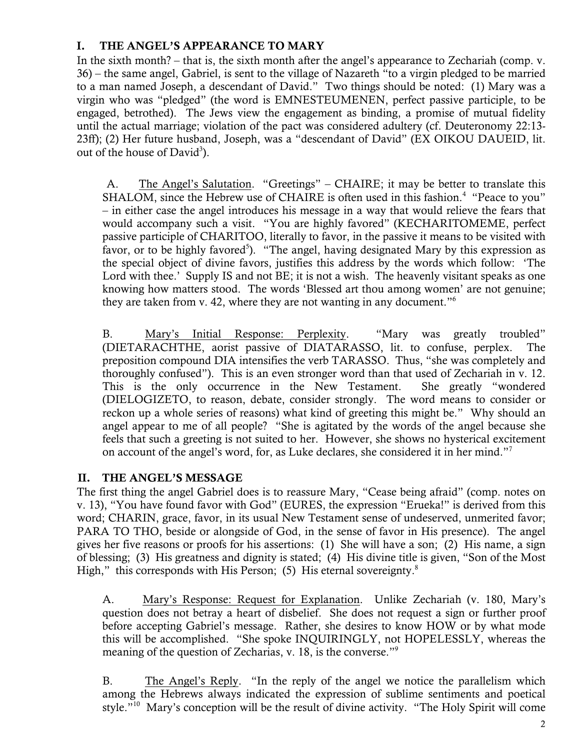### I. THE ANGEL'S APPEARANCE TO MARY

In the sixth month? – that is, the sixth month after the angel's appearance to Zechariah (comp. v. 36) – the same angel, Gabriel, is sent to the village of Nazareth "to a virgin pledged to be married to a man named Joseph, a descendant of David." Two things should be noted: (1) Mary was a virgin who was "pledged" (the word is EMNESTEUMENEN, perfect passive participle, to be engaged, betrothed). The Jews view the engagement as binding, a promise of mutual fidelity until the actual marriage; violation of the pact was considered adultery (cf. Deuteronomy 22:13- 23ff); (2) Her future husband, Joseph, was a "descendant of David" (EX OIKOU DAUEID, lit. out of the house of  $David<sup>3</sup>$ ).

A. The Angel's Salutation. "Greetings" – CHAIRE; it may be better to translate this SHALOM, since the Hebrew use of CHAIRE is often used in this fashion.<sup>4</sup> "Peace to you" – in either case the angel introduces his message in a way that would relieve the fears that would accompany such a visit. "You are highly favored" (KECHARITOMEME, perfect passive participle of CHARITOO, literally to favor, in the passive it means to be visited with favor, or to be highly favored<sup>5</sup>). "The angel, having designated Mary by this expression as the special object of divine favors, justifies this address by the words which follow: 'The Lord with thee.' Supply IS and not BE; it is not a wish. The heavenly visitant speaks as one knowing how matters stood. The words 'Blessed art thou among women' are not genuine; they are taken from v. 42, where they are not wanting in any document."6

B. Mary's Initial Response: Perplexity. "Mary was greatly troubled" (DIETARACHTHE, aorist passive of DIATARASSO, lit. to confuse, perplex. The preposition compound DIA intensifies the verb TARASSO. Thus, "she was completely and thoroughly confused"). This is an even stronger word than that used of Zechariah in v. 12. This is the only occurrence in the New Testament. She greatly "wondered (DIELOGIZETO, to reason, debate, consider strongly. The word means to consider or reckon up a whole series of reasons) what kind of greeting this might be." Why should an angel appear to me of all people? "She is agitated by the words of the angel because she feels that such a greeting is not suited to her. However, she shows no hysterical excitement on account of the angel's word, for, as Luke declares, she considered it in her mind."<sup>7</sup>

## II. THE ANGEL'S MESSAGE

The first thing the angel Gabriel does is to reassure Mary, "Cease being afraid" (comp. notes on v. 13), "You have found favor with God" (EURES, the expression "Erueka!" is derived from this word; CHARIN, grace, favor, in its usual New Testament sense of undeserved, unmerited favor; PARA TO THO, beside or alongside of God, in the sense of favor in His presence). The angel gives her five reasons or proofs for his assertions: (1) She will have a son; (2) His name, a sign of blessing; (3) His greatness and dignity is stated; (4) His divine title is given, "Son of the Most High," this corresponds with His Person; (5) His eternal sovereignty. $8$ 

A. Mary's Response: Request for Explanation. Unlike Zechariah (v. 180, Mary's question does not betray a heart of disbelief. She does not request a sign or further proof before accepting Gabriel's message. Rather, she desires to know HOW or by what mode this will be accomplished. "She spoke INQUIRINGLY, not HOPELESSLY, whereas the meaning of the question of Zecharias, v. 18, is the converse."<sup>9</sup>

B. The Angel's Reply. "In the reply of the angel we notice the parallelism which among the Hebrews always indicated the expression of sublime sentiments and poetical style."<sup>10</sup> Mary's conception will be the result of divine activity. "The Holy Spirit will come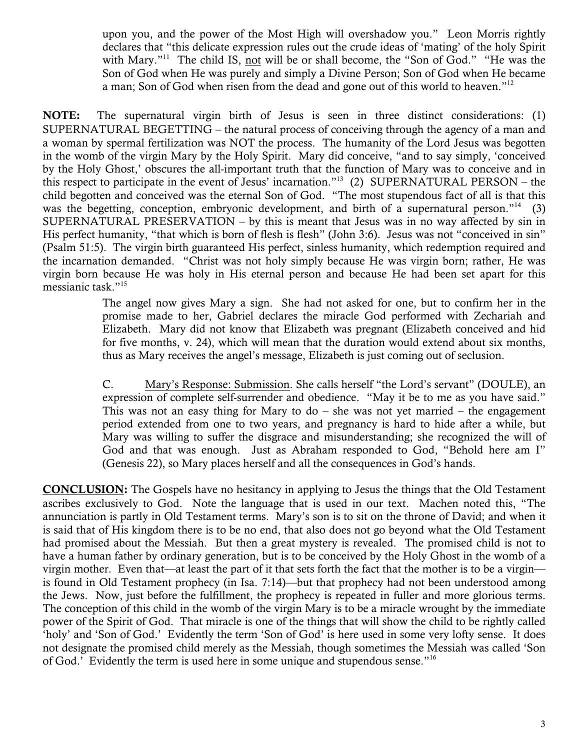upon you, and the power of the Most High will overshadow you." Leon Morris rightly declares that "this delicate expression rules out the crude ideas of 'mating' of the holy Spirit with Mary."<sup>11</sup> The child IS, not will be or shall become, the "Son of God." "He was the Son of God when He was purely and simply a Divine Person; Son of God when He became a man; Son of God when risen from the dead and gone out of this world to heaven."<sup>12</sup>

NOTE: The supernatural virgin birth of Jesus is seen in three distinct considerations: (1) SUPERNATURAL BEGETTING – the natural process of conceiving through the agency of a man and a woman by spermal fertilization was NOT the process. The humanity of the Lord Jesus was begotten in the womb of the virgin Mary by the Holy Spirit. Mary did conceive, "and to say simply, 'conceived by the Holy Ghost,' obscures the all-important truth that the function of Mary was to conceive and in this respect to participate in the event of Jesus' incarnation."<sup>13</sup> (2) SUPERNATURAL PERSON – the child begotten and conceived was the eternal Son of God. "The most stupendous fact of all is that this was the begetting, conception, embryonic development, and birth of a supernatural person."<sup>14</sup> (3) SUPERNATURAL PRESERVATION – by this is meant that Jesus was in no way affected by sin in His perfect humanity, "that which is born of flesh is flesh" (John 3:6). Jesus was not "conceived in sin" (Psalm 51:5). The virgin birth guaranteed His perfect, sinless humanity, which redemption required and the incarnation demanded. "Christ was not holy simply because He was virgin born; rather, He was virgin born because He was holy in His eternal person and because He had been set apart for this messianic task."15

> The angel now gives Mary a sign. She had not asked for one, but to confirm her in the promise made to her, Gabriel declares the miracle God performed with Zechariah and Elizabeth. Mary did not know that Elizabeth was pregnant (Elizabeth conceived and hid for five months, v. 24), which will mean that the duration would extend about six months, thus as Mary receives the angel's message, Elizabeth is just coming out of seclusion.

> C. Mary's Response: Submission. She calls herself "the Lord's servant" (DOULE), an expression of complete self-surrender and obedience. "May it be to me as you have said." This was not an easy thing for Mary to  $d\sigma$  – she was not yet married – the engagement period extended from one to two years, and pregnancy is hard to hide after a while, but Mary was willing to suffer the disgrace and misunderstanding; she recognized the will of God and that was enough. Just as Abraham responded to God, "Behold here am I" (Genesis 22), so Mary places herself and all the consequences in God's hands.

CONCLUSION: The Gospels have no hesitancy in applying to Jesus the things that the Old Testament ascribes exclusively to God. Note the language that is used in our text. Machen noted this, "The annunciation is partly in Old Testament terms. Mary's son is to sit on the throne of David; and when it is said that of His kingdom there is to be no end, that also does not go beyond what the Old Testament had promised about the Messiah. But then a great mystery is revealed. The promised child is not to have a human father by ordinary generation, but is to be conceived by the Holy Ghost in the womb of a virgin mother. Even that—at least the part of it that sets forth the fact that the mother is to be a virgin is found in Old Testament prophecy (in Isa. 7:14)—but that prophecy had not been understood among the Jews. Now, just before the fulfillment, the prophecy is repeated in fuller and more glorious terms. The conception of this child in the womb of the virgin Mary is to be a miracle wrought by the immediate power of the Spirit of God. That miracle is one of the things that will show the child to be rightly called 'holy' and 'Son of God.' Evidently the term 'Son of God' is here used in some very lofty sense. It does not designate the promised child merely as the Messiah, though sometimes the Messiah was called 'Son of God.' Evidently the term is used here in some unique and stupendous sense."<sup>16</sup>